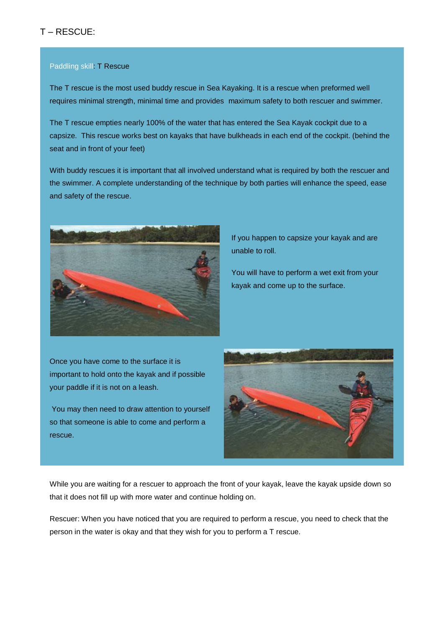## T – RESCUE:

## Paddling skill: T Rescue

The T rescue is the most used buddy rescue in Sea Kayaking. It is a rescue when preformed well requires minimal strength, minimal time and provides maximum safety to both rescuer and swimmer.

The T rescue empties nearly 100% of the water that has entered the Sea Kayak cockpit due to a capsize. This rescue works best on kayaks that have bulkheads in each end of the cockpit. (behind the seat and in front of your feet)

With buddy rescues it is important that all involved understand what is required by both the rescuer and the swimmer. A complete understanding of the technique by both parties will enhance the speed, ease and safety of the rescue.



If you happen to capsize your kayak and are unable to roll.

You will have to perform a wet exit from your kayak and come up to the surface.

Once you have come to the surface it is important to hold onto the kayak and if possible your paddle if it is not on a leash.

You may then need to draw attention to yourself so that someone is able to come and perform a rescue.



While you are waiting for a rescuer to approach the front of your kayak, leave the kayak upside down so that it does not fill up with more water and continue holding on.

Rescuer: When you have noticed that you are required to perform a rescue, you need to check that the person in the water is okay and that they wish for you to perform a T rescue.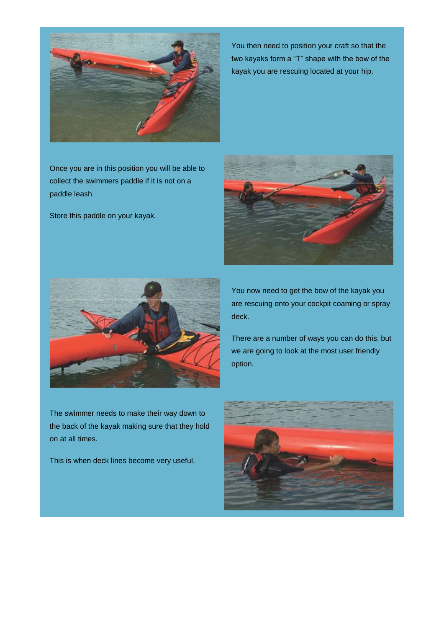

You then need to position your craft so that the two kayaks form a "T" shape with the bow of the kayak you are rescuing located at your hip.

Once you are in this position you will be able to collect the swimmers paddle if it is not on a paddle leash.

Store this paddle on your kayak.





The swimmer needs to make their way down to the back of the kayak making sure that they hold on at all times.

This is when deck lines become very useful.

You now need to get the bow of the kayak you are rescuing onto your cockpit coaming or spray deck.

There are a number of ways you can do this, but we are going to look at the most user friendly option.

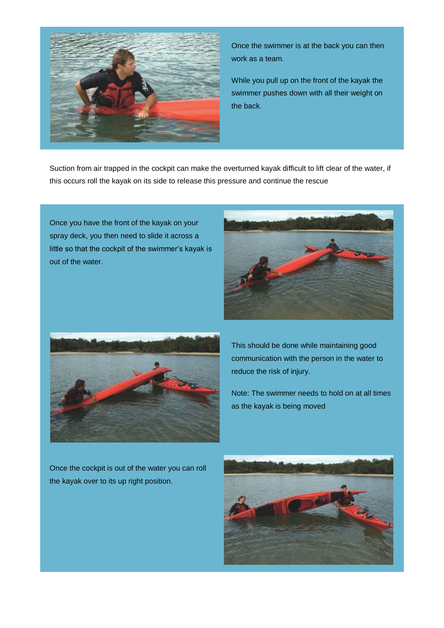

Once the swimmer is at the back you can then work as a team.

While you pull up on the front of the kayak the swimmer pushes down with all their weight on the back.

Suction from air trapped in the cockpit can make the overturned kayak difficult to lift clear of the water, if this occurs roll the kayak on its side to release this pressure and continue the rescue

Once you have the front of the kayak on your spray deck, you then need to slide it across a little so that the cockpit of the swimmer's kayak is out of the water.





This should be done while maintaining good communication with the person in the water to reduce the risk of injury.

Note: The swimmer needs to hold on at all times as the kayak is being moved

Once the cockpit is out of the water you can roll the kayak over to its up right position.

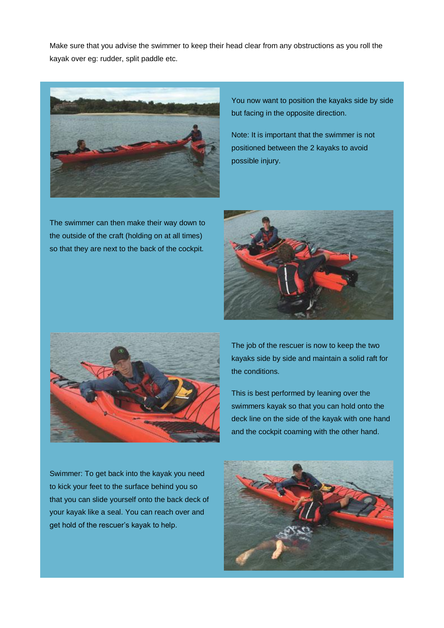Make sure that you advise the swimmer to keep their head clear from any obstructions as you roll the kayak over eg: rudder, split paddle etc.



The swimmer can then make their way down to the outside of the craft (holding on at all times) so that they are next to the back of the cockpit.

You now want to position the kayaks side by side but facing in the opposite direction.

Note: It is important that the swimmer is not positioned between the 2 kayaks to avoid possible injury.





The job of the rescuer is now to keep the two kayaks side by side and maintain a solid raft for the conditions.

This is best performed by leaning over the swimmers kayak so that you can hold onto the deck line on the side of the kayak with one hand and the cockpit coaming with the other hand.

Swimmer: To get back into the kayak you need to kick your feet to the surface behind you so that you can slide yourself onto the back deck of your kayak like a seal. You can reach over and get hold of the rescuer's kayak to help.